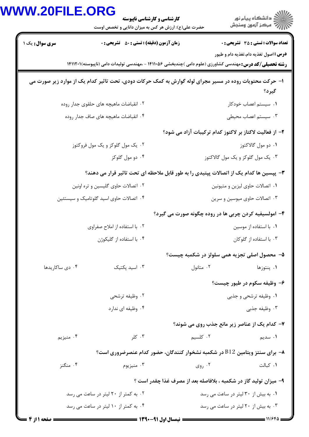|                                                                                                                  |                                        | <b>کارشناسی و کارشناسی ناپیوسته</b><br>حضرت علی(ع): ارزش هر کس به میزان دانایی و تخصص اوست |                                                                                                                  | ≦ دانشڪاه پيام نور<br>7- مرڪز آزمون وسنڊش                                                  |  |
|------------------------------------------------------------------------------------------------------------------|----------------------------------------|--------------------------------------------------------------------------------------------|------------------------------------------------------------------------------------------------------------------|--------------------------------------------------------------------------------------------|--|
| <b>سری سوال :</b> یک ۱                                                                                           |                                        | <b>زمان آزمون (دقیقه) : تستی : 80 ٪ تشریحی : 0</b>                                         | <b>رشته تحصیلی/کد درس:</b> مهندسی کشاورزی (علوم دامی )چندبخشی ۱۴۱۱۰۵۶ - ،مهندسی تولیدات دامی (ناپیوسته)۱۴۱۱۲۰۱ ۱ | <b>تعداد سوالات : تستي : 35 تشريحي : 0</b><br><b>درس :</b> اصول تغذیه دام،تغذیه دام و طیور |  |
| ا– حرکت محتویات روده در مسیر مجرای لوله گوارش به کمک حرکات دودی، تحت تاثیر کدام یک از موارد زیر صورت می<br>گيرد؟ |                                        |                                                                                            |                                                                                                                  |                                                                                            |  |
|                                                                                                                  | ۰۲ انقباضات ماهیچه های حلقوی جدار روده |                                                                                            |                                                                                                                  | ۰۱ سیستم اعصاب خودکار                                                                      |  |
|                                                                                                                  | ۰۴ انقباضات ماهيچه هاى صاف جدار روده   |                                                                                            |                                                                                                                  | ۰۳ سیستم اعصاب محیطی                                                                       |  |
|                                                                                                                  |                                        |                                                                                            | ۲– از فعالیت لاکتاز بر لاکتوز کدام ترکیبات آزاد می شود؟                                                          |                                                                                            |  |
|                                                                                                                  | ۰۲ یک مول گلوکز و یک مول فروکتوز       |                                                                                            |                                                                                                                  | ۰۱ دو مول گالاکتوز                                                                         |  |
|                                                                                                                  |                                        | ۰۴ دو مول گلوکز                                                                            | ۰۳ یک مول گلوکز و یک مول گالاکتوز                                                                                |                                                                                            |  |
|                                                                                                                  |                                        |                                                                                            | ۳- پپسین ها کدام یک از اتصالات پپتیدی را به طور قابل ملاحظه ای تحت تاثیر قرار می دهند؟                           |                                                                                            |  |
|                                                                                                                  | ۰۲ اتصالات حاوی گلیسین و تره اونین     |                                                                                            |                                                                                                                  | ۰۱ اتصالات حاوی لیزین و متیونین                                                            |  |
| ۰۴ اتصالات حاوی اسید گلوتامیک و سیستئین                                                                          |                                        |                                                                                            | ۰۳ اتصالات حاوی میوسین و سرین                                                                                    |                                                                                            |  |
|                                                                                                                  |                                        |                                                                                            | ۴- امولسیفیه کردن چربی ها در روده چگونه صورت می گیرد؟                                                            |                                                                                            |  |
|                                                                                                                  | ۰۲ با استفاده از املاح صفراوی          |                                                                                            |                                                                                                                  | ٠١. با استفاده از موسين                                                                    |  |
|                                                                                                                  | ۰۴ با استفاده از گلیکوژن               |                                                                                            |                                                                                                                  | ۰۳ با استفاده از گلوکان                                                                    |  |
|                                                                                                                  |                                        |                                                                                            | ۵– محصول اصلي تجزيه همي سلولز در شكمبه چيست؟                                                                     |                                                                                            |  |
| ۰۴ دی ساکاریدها                                                                                                  |                                        | ۰۳ اسید یکتیک                                                                              | ۰۲ متانول                                                                                                        | ۰۱ پنتوزها                                                                                 |  |
|                                                                                                                  |                                        |                                                                                            |                                                                                                                  | ۶- وظیفه سکوم در طیور چیست؟                                                                |  |
|                                                                                                                  |                                        | ۰۲ وظیفه ترشحی                                                                             |                                                                                                                  | ۰۱ وظیفه ترشحی و جذبی                                                                      |  |
|                                                                                                                  |                                        | ۰۴ وظیفه ای ندارد                                                                          |                                                                                                                  | ۰۳ وظیفه جذبی                                                                              |  |
|                                                                                                                  |                                        |                                                                                            | ۷- کدام یک از عناصر زیر مانع جذب روی می شوند؟                                                                    |                                                                                            |  |
|                                                                                                                  | ۰۴ منيزيم                              | ۰۳ کلر                                                                                     | ۰۲ کلسیم                                                                                                         | ۰۱ سدیم                                                                                    |  |
|                                                                                                                  |                                        |                                                                                            | $\,$ ۰– برای سنتز ویتامین $\rm B12$ در شکمبه نشخوار کنندگان، حضور کدام عنصرضروری است $\,$ ۰–                     |                                                                                            |  |
|                                                                                                                  | ۰۴ منگنز                               | ۰۳ منيزيوم                                                                                 | ۰۲ روی                                                                                                           | ٠١ كبالت                                                                                   |  |
|                                                                                                                  |                                        |                                                                                            | ۹- میزان تولید گاز در شکمبه ، بلافاصله بعد از مصرف غذا چقدر است ؟                                                |                                                                                            |  |
|                                                                                                                  | ۰۲ به کمتر از ۲۰ لیتر در ساعت می رسد   |                                                                                            | ۰۱ به بیش از ۳۰ لیتر در ساعت می رسد                                                                              |                                                                                            |  |
|                                                                                                                  | ۰۴ به کمتر از ۱۰ لیتر در ساعت می رسد   |                                                                                            | ۰۳ به بیش از ۲۰ لیتر در ساعت می رسد                                                                              |                                                                                            |  |
|                                                                                                                  |                                        |                                                                                            |                                                                                                                  |                                                                                            |  |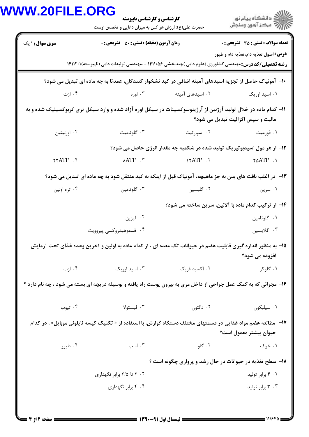| <b>کارشناسی و کارشناسی ناپیوسته</b>                                                                      | <b>VW.20FILE.ORG</b>                                                                                             | حضرت علی(ع): ارزش هر کس به میزان دانایی و تخصص اوست                                                              | ِ<br>∭ دانشڪاه پيام نور<br>∭ مرڪز آزمون وسنڊش |  |  |  |
|----------------------------------------------------------------------------------------------------------|------------------------------------------------------------------------------------------------------------------|------------------------------------------------------------------------------------------------------------------|-----------------------------------------------|--|--|--|
| <b>زمان آزمون (دقیقه) : تستی : 50 ٪ تشریحی : 0</b>                                                       | <b>سری سوال : ۱ یک</b>                                                                                           |                                                                                                                  | <b>تعداد سوالات : تستی : 35 تشریحی : 0</b>    |  |  |  |
|                                                                                                          |                                                                                                                  | <b>رشته تحصیلی/کد درس:</b> مهندسی کشاورزی (علوم دامی )چندبخشی ۱۴۱۱۰۵۶ - ،مهندسی تولیدات دامی (ناپیوسته)۱۴۱۱۲۰۱ ا | <b>درس :</b> اصول تغذیه دام،تغذیه دام و طیور  |  |  |  |
| ∙ا− آمونیاک حاصل از تجزیه اسیدهای آمینه اضافی در کبد نشخوار کنندگان، عمدتا به چه ماده ای تبدیل می شود؟   |                                                                                                                  |                                                                                                                  |                                               |  |  |  |
|                                                                                                          | ۰۴ ازت                                                                                                           | ۰۲ اسیدهای آمینه                                                                                                 | ۰۱ اسید اوریک                                 |  |  |  |
|                                                                                                          | 1۱– کدام ماده در خلال تولید آرژنین از آرژینوسوکسینات در سیکل اوره آزاد شده و وارد سیکل تری کربوکسیلیک شده و به   |                                                                                                                  | مالیت و سپس اگزالیت تبدیل می شود؟             |  |  |  |
|                                                                                                          | ۰۴ اورنيتين                                                                                                      | ۰۲ آسپارتیت                                                                                                      | ۰۱ فورمیت                                     |  |  |  |
|                                                                                                          |                                                                                                                  | ۱۲- از هر مول اسیدبوتیریک تولید شده در شکمبه چه مقدار انرژی حاصل می شود؟                                         |                                               |  |  |  |
|                                                                                                          | $\gamma$ ATP $\cdot$                                                                                             | $YATP$ .                                                                                                         | $\gamma \triangle ATP$ .                      |  |  |  |
| ۱۳- در اغلب بافت های بدن به جز ماهیچه، آمونیاک قبل از اینکه به کبد منتقل شود به چه ماده ای تبدیل می شود؟ |                                                                                                                  |                                                                                                                  |                                               |  |  |  |
|                                                                                                          | ۰۴ تره اونين                                                                                                     | ۰۲ گلیسین                                                                                                        | ۰۱ سرين                                       |  |  |  |
| ۱۴– از ترکیب کدام ماده با آلانین، سرین ساخته می شود؟                                                     |                                                                                                                  |                                                                                                                  |                                               |  |  |  |
|                                                                                                          |                                                                                                                  |                                                                                                                  | ٠١ گلوتامين                                   |  |  |  |
|                                                                                                          | ۰۴ فسفوهيدروكسي پيروويت                                                                                          |                                                                                                                  | ۰۳ گلايسين                                    |  |  |  |
|                                                                                                          | ۱۵– به منظور اندازه گیری قابلیت هضم در حیوانات تک معده ای ، از کدام ماده به اولین و آخرین وعده غذای تحت آزمایش   |                                                                                                                  | افزوده می شود؟                                |  |  |  |
| ۰۳ اسید اوریک                                                                                            | ۰۴ ازت                                                                                                           | ۰۲ اکسید فریک                                                                                                    | ۰۱ گلوکز                                      |  |  |  |
|                                                                                                          | ۱۶- مجرائی که به کمک عمل جراحی از داخل مری به بیرون پوست راه یافته و بوسیله دریچه ای بسته می شود ، چه نام دارد ؟ |                                                                                                                  |                                               |  |  |  |
|                                                                                                          | ۰۴ تيوب                                                                                                          | ۰۲ دالتون                                                                                                        | ٠١ سيليكون                                    |  |  |  |
|                                                                                                          | ۱۷–   مطالعه هضم مواد غذایی در قسمتهای مختلف دستگاه گوارش، با استفاده از « تکنیک کیسه نایلونی موبایل» ، در کدام  |                                                                                                                  | حيوان بيشتر معمول است؟                        |  |  |  |
| ۰۳ اسب                                                                                                   | ۰۴ طیور                                                                                                          | ۰۲ گاو                                                                                                           | ۰۱ خوک                                        |  |  |  |
|                                                                                                          |                                                                                                                  | ۱۸- سطح تغذیه در حیوانات در حال رشد و پرواری چگونه است ؟                                                         |                                               |  |  |  |
|                                                                                                          | ۰۲ تا ۲/۵ برابر نگهداری                                                                                          |                                                                                                                  | ۰۱ ۴ برابر توليد                              |  |  |  |
|                                                                                                          |                                                                                                                  |                                                                                                                  | ۰۳ برابر تولید                                |  |  |  |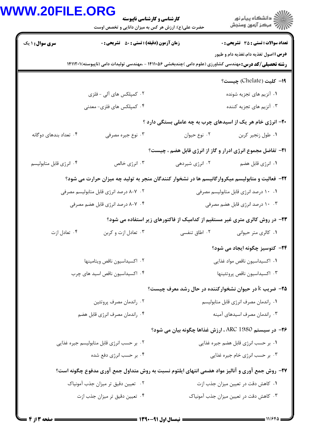|                         |                                                    | <b>کارشناسی و کارشناسی ناپیوسته</b><br>حضرت علی(ع): ارزش هر کس به میزان دانایی و تخصص اوست | ≦ دانشڪاه پيام نور<br>7- مرڪز آزمون وسنڊش                                                                                                                        |
|-------------------------|----------------------------------------------------|--------------------------------------------------------------------------------------------|------------------------------------------------------------------------------------------------------------------------------------------------------------------|
| <b>سری سوال : ۱ یک</b>  | <b>زمان آزمون (دقیقه) : تستی : 50 ٪ تشریحی : 0</b> |                                                                                            | <b>تعداد سوالات : تستی : 35 - تشریحی : 0</b>                                                                                                                     |
|                         |                                                    |                                                                                            | <b>درس :</b> اصول تغذیه دام،تغذیه دام و طیور<br><b>رشته تحصیلی/کد درس:</b> مهندسی کشاورزی (علوم دامی )چندبخشی ۱۴۱۱۰۵۶ - ،مهندسی تولیدات دامی (ناپیوسته)۱۴۱۱۲۰۱ ۱ |
|                         |                                                    |                                                                                            | 1۹– كليت (Chelate) چيست؟                                                                                                                                         |
|                         | ۰۲ کمپلکس های آلی - فلزی                           |                                                                                            | ۰۱ آنزیم های تجزیه شونده                                                                                                                                         |
|                         | ۰۴ کمپلکس های فلزی- معدنی                          |                                                                                            | ۰۳ آنزیم های تجزیه کننده                                                                                                                                         |
|                         |                                                    |                                                                                            | ۲۰- انرژی خام هر یک از اسیدهای چرب به چه عاملی بستگی دارد ؟                                                                                                      |
| ۰۴ تعداد بندهای دوگانه  | ۰۳ نوع جیره مصرفی                                  |                                                                                            | ٠١ طول زنجير كربن مسمد ٢٠ نوع حيوان                                                                                                                              |
|                         |                                                    |                                                                                            | <b>۲۱</b> - تفاضل مجموع انرژی ادرار و گاز از انرژی قابل هضم ، چیست؟                                                                                              |
| ۰۴ انرژی قابل متابولیسم | ۰۳ انرژی خالص                                      | ۰۲ انرژی شیردهی                                                                            | ۰۱ انرژی قابل هضم                                                                                                                                                |
|                         |                                                    |                                                                                            | ۲۲– فعالیت و متابولیسم میکروارگانیسم ها در نشخوار کنندگان منجر به تولید چه میزان حرارت می شود؟                                                                   |
|                         | ۰۲ - ۸–۸ درصد انرژی قابل متابولیسم مصرفی           |                                                                                            | ۰۱ ۱۰ درصد انرژی قابل متابولیسم مصرفی                                                                                                                            |
|                         | ۰۴ - ۸–۸ درصد انرژی قابل هضم مصرفی                 |                                                                                            | ۰۰ ۲ درصد انرژی قابل هضم مصرفی                                                                                                                                   |
|                         |                                                    |                                                                                            | ۲۳- در روش کالری متری غیر مستقیم از کدامیک از فاکتورهای زیر استفاده می شود؟                                                                                      |
| ۰۴ تعادل ازت            | ۰۳ تعادل ازت و کربن                                | ۰۲ اطاق تنفسی                                                                              | ۰۱ کالری متر حیوانی                                                                                                                                              |
|                         |                                                    |                                                                                            | ۲۴– کتوسیز چگونه ایجاد می شود؟                                                                                                                                   |
|                         | ۰۲ اکسیداسیون ناقص ویتامینها                       |                                                                                            | ۰۱ اکسیداسیون ناقص مواد غذایی                                                                                                                                    |
|                         | ۰۴ اکسیداسیون ناقص اسید های چرب                    |                                                                                            | ٠٣ اكسيداسيون ناقص پروتئينها                                                                                                                                     |
|                         |                                                    |                                                                                            | <b>۲۵</b> - ضریب k در حیوان نشخوارکننده در حال رشد معرف چیست؟                                                                                                    |
|                         | ۰۲ راندمان مصرف پروتئين                            |                                                                                            | ۰۱ راندمان مصرف انرژی قابل متابولیسم                                                                                                                             |
|                         | ۰۴ راندمان مصرف انرژی قابل هضم                     |                                                                                            | ۰۳ راندمان مصرف اسیدهای آمینه                                                                                                                                    |
|                         |                                                    |                                                                                            | <b>۲۶</b> - در سیستم ARC 1980 ، ارزش غذاها چگونه بیان می شود؟                                                                                                    |
|                         | ۰۲ بر حسب انرژی قابل متابولیسم جیره غذایی          |                                                                                            | ۰۱ بر حسب انرژی قابل هضم جیره غذایی                                                                                                                              |
|                         | ۰۴ بر حسب انرژی دفع شده                            |                                                                                            | ۰۳ بر حسب انرژی خام جیره غذایی                                                                                                                                   |
|                         |                                                    |                                                                                            | ۲۷- روش جمع آوری و آنالیز مواد هضمی انتهای ایلئوم نسبت به روش متداول جمع آوری مدفوع چگونه است؟                                                                   |
|                         | ۰۲ تعیین دقیق تر میزان جذب آمونیاک                 |                                                                                            | ۰۱ کاهش دقت در تعیین میزان جذب ازت                                                                                                                               |
|                         | ۰۴ تعیین دقیق تر میزان جذب ازت                     |                                                                                            | ۰۳ کاهش دقت در تعیین میزان جذب آمونیاک                                                                                                                           |